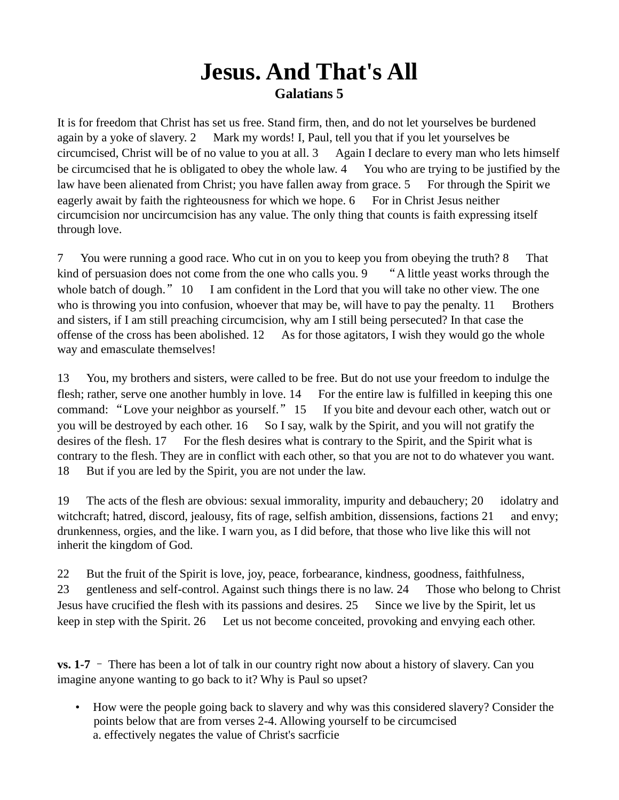## **Jesus. And That's All Galatians 5**

It is for freedom that Christ has set us free. Stand firm, then, and do not let yourselves be burdened again by a yoke of slavery. 2 Mark my words! I, Paul, tell you that if you let yourselves be circumcised, Christ will be of no value to you at all. 3 Again I declare to every man who lets himself be circumcised that he is obligated to obey the whole law. 4 You who are trying to be justified by the law have been alienated from Christ; you have fallen away from grace. 5 For through the Spirit we eagerly await by faith the righteousness for which we hope. 6 For in Christ Jesus neither circumcision nor uncircumcision has any value. The only thing that counts is faith expressing itself through love.

7 You were running a good race. Who cut in on you to keep you from obeying the truth? 8 That kind of persuasion does not come from the one who calls you. 9 "A little yeast works through the whole batch of dough." 10 I am confident in the Lord that you will take no other view. The one who is throwing you into confusion, whoever that may be, will have to pay the penalty.  $11$  Brothers and sisters, if I am still preaching circumcision, why am I still being persecuted? In that case the offense of the cross has been abolished.  $12$  As for those agitators, I wish they would go the whole way and emasculate themselves!

13 You, my brothers and sisters, were called to be free. But do not use your freedom to indulge the flesh; rather, serve one another humbly in love. 14 For the entire law is fulfilled in keeping this one command: "Love your neighbor as yourself." 15 If you bite and devour each other, watch out or you will be destroyed by each other. 16 So I say, walk by the Spirit, and you will not gratify the desires of the flesh. 17 For the flesh desires what is contrary to the Spirit, and the Spirit what is contrary to the flesh. They are in conflict with each other, so that you are not to do whatever you want. 18 But if you are led by the Spirit, you are not under the law.

19 The acts of the flesh are obvious: sexual immorality, impurity and debauchery; 20 idolatry and witchcraft; hatred, discord, jealousy, fits of rage, selfish ambition, dissensions, factions 21 and envy; drunkenness, orgies, and the like. I warn you, as I did before, that those who live like this will not inherit the kingdom of God.

22 But the fruit of the Spirit is love, joy, peace, forbearance, kindness, goodness, faithfulness, 23 gentleness and self-control. Against such things there is no law. 24 Those who belong to Christ Jesus have crucified the flesh with its passions and desires. 25 Since we live by the Spirit, let us keep in step with the Spirit. 26 Let us not become conceited, provoking and envying each other.

**vs. 1-7** – There has been a lot of talk in our country right now about a history of slavery. Can you imagine anyone wanting to go back to it? Why is Paul so upset?

• How were the people going back to slavery and why was this considered slavery? Consider the points below that are from verses 2-4. Allowing yourself to be circumcised a. effectively negates the value of Christ's sacrficie